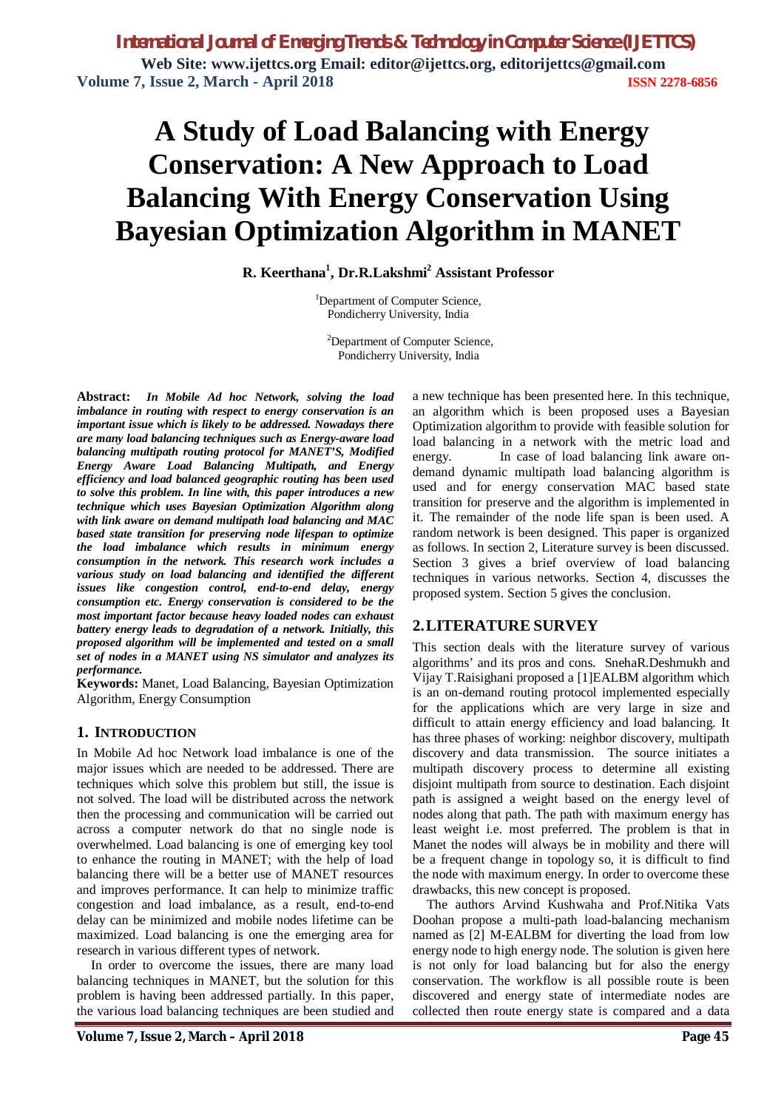# **A Study of Load Balancing with Energy Conservation: A New Approach to Load Balancing With Energy Conservation Using Bayesian Optimization Algorithm in MANET**

**R. Keerthana<sup>1</sup> , Dr.R.Lakshmi<sup>2</sup> Assistant Professor**

<sup>1</sup>Department of Computer Science, Pondicherry University, India

<sup>2</sup>Department of Computer Science, Pondicherry University, India

**Abstract:** *In Mobile Ad hoc Network, solving the load imbalance in routing with respect to energy conservation is an important issue which is likely to be addressed. Nowadays there are many load balancing techniques such as Energy-aware load balancing multipath routing protocol for MANET'S, Modified Energy Aware Load Balancing Multipath, and Energy efficiency and load balanced geographic routing has been used to solve this problem. In line with, this paper introduces a new technique which uses Bayesian Optimization Algorithm along with link aware on demand multipath load balancing and MAC based state transition for preserving node lifespan to optimize the load imbalance which results in minimum energy consumption in the network. This research work includes a various study on load balancing and identified the different issues like congestion control, end-to-end delay, energy consumption etc. Energy conservation is considered to be the most important factor because heavy loaded nodes can exhaust battery energy leads to degradation of a network. Initially, this proposed algorithm will be implemented and tested on a small set of nodes in a MANET using NS simulator and analyzes its performance.* 

**Keywords:** Manet, Load Balancing, Bayesian Optimization Algorithm, Energy Consumption

### **1. INTRODUCTION**

In Mobile Ad hoc Network load imbalance is one of the major issues which are needed to be addressed. There are techniques which solve this problem but still, the issue is not solved. The load will be distributed across the network then the processing and communication will be carried out across a computer network do that no single node is overwhelmed. Load balancing is one of emerging key tool to enhance the routing in MANET; with the help of load balancing there will be a better use of MANET resources and improves performance. It can help to minimize traffic congestion and load imbalance, as a result, end-to-end delay can be minimized and mobile nodes lifetime can be maximized. Load balancing is one the emerging area for research in various different types of network.

In order to overcome the issues, there are many load balancing techniques in MANET, but the solution for this problem is having been addressed partially. In this paper, the various load balancing techniques are been studied and a new technique has been presented here. In this technique, an algorithm which is been proposed uses a Bayesian Optimization algorithm to provide with feasible solution for load balancing in a network with the metric load and energy. In case of load balancing link aware ondemand dynamic multipath load balancing algorithm is used and for energy conservation MAC based state transition for preserve and the algorithm is implemented in it. The remainder of the node life span is been used. A random network is been designed. This paper is organized as follows. In section 2, Literature survey is been discussed. Section 3 gives a brief overview of load balancing techniques in various networks. Section 4, discusses the proposed system. Section 5 gives the conclusion.

### **2.LITERATURE SURVEY**

This section deals with the literature survey of various algorithms' and its pros and cons. SnehaR.Deshmukh and Vijay T.Raisighani proposed a [1]EALBM algorithm which is an on-demand routing protocol implemented especially for the applications which are very large in size and difficult to attain energy efficiency and load balancing. It has three phases of working: neighbor discovery, multipath discovery and data transmission. The source initiates a multipath discovery process to determine all existing disjoint multipath from source to destination. Each disjoint path is assigned a weight based on the energy level of nodes along that path. The path with maximum energy has least weight i.e. most preferred. The problem is that in Manet the nodes will always be in mobility and there will be a frequent change in topology so, it is difficult to find the node with maximum energy. In order to overcome these drawbacks, this new concept is proposed.

The authors Arvind Kushwaha and Prof.Nitika Vats Doohan propose a multi-path load-balancing mechanism named as [2] M-EALBM for diverting the load from low energy node to high energy node. The solution is given here is not only for load balancing but for also the energy conservation. The workflow is all possible route is been discovered and energy state of intermediate nodes are collected then route energy state is compared and a data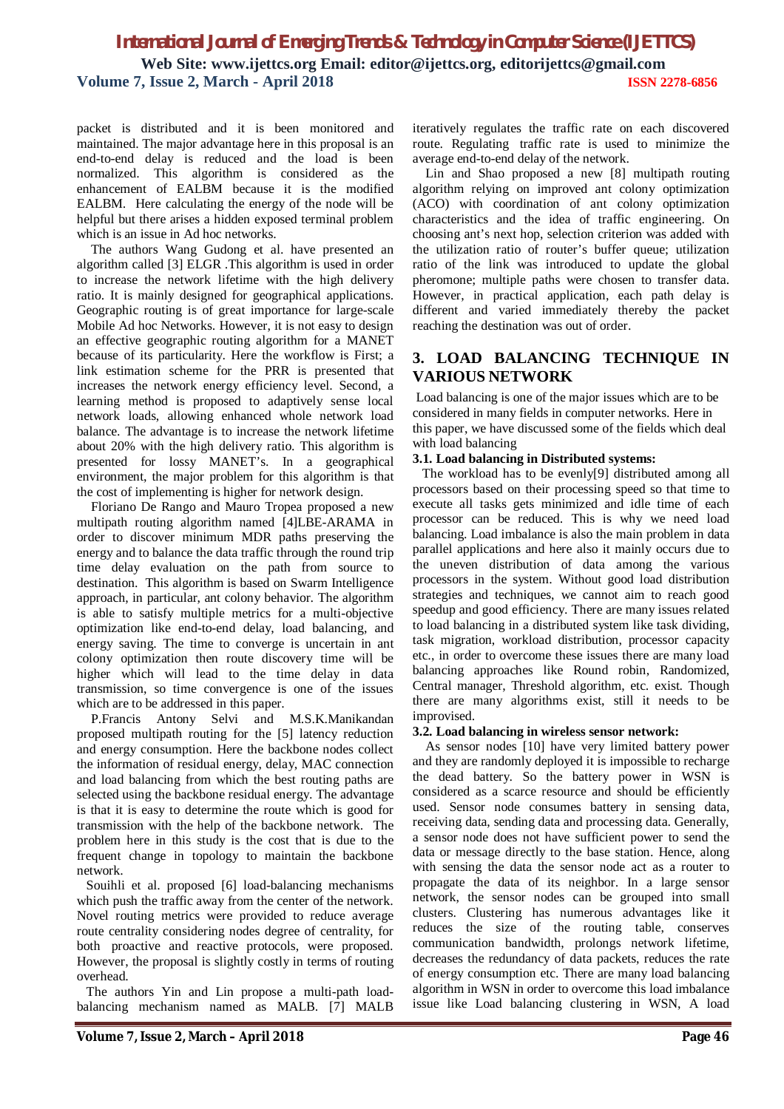packet is distributed and it is been monitored and maintained. The major advantage here in this proposal is an end-to-end delay is reduced and the load is been normalized. This algorithm is considered as the enhancement of EALBM because it is the modified EALBM. Here calculating the energy of the node will be helpful but there arises a hidden exposed terminal problem which is an issue in Ad hoc networks.

The authors Wang Gudong et al. have presented an algorithm called [3] ELGR .This algorithm is used in order to increase the network lifetime with the high delivery ratio. It is mainly designed for geographical applications. Geographic routing is of great importance for large-scale Mobile Ad hoc Networks. However, it is not easy to design an effective geographic routing algorithm for a MANET because of its particularity. Here the workflow is First; a link estimation scheme for the PRR is presented that increases the network energy efficiency level. Second, a learning method is proposed to adaptively sense local network loads, allowing enhanced whole network load balance. The advantage is to increase the network lifetime about 20% with the high delivery ratio. This algorithm is presented for lossy MANET's. In a geographical environment, the major problem for this algorithm is that the cost of implementing is higher for network design.

Floriano De Rango and Mauro Tropea proposed a new multipath routing algorithm named [4]LBE-ARAMA in order to discover minimum MDR paths preserving the energy and to balance the data traffic through the round trip time delay evaluation on the path from source to destination. This algorithm is based on Swarm Intelligence approach, in particular, ant colony behavior. The algorithm is able to satisfy multiple metrics for a multi-objective optimization like end-to-end delay, load balancing, and energy saving. The time to converge is uncertain in ant colony optimization then route discovery time will be higher which will lead to the time delay in data transmission, so time convergence is one of the issues which are to be addressed in this paper.

P.Francis Antony Selvi and M.S.K.Manikandan proposed multipath routing for the [5] latency reduction and energy consumption. Here the backbone nodes collect the information of residual energy, delay, MAC connection and load balancing from which the best routing paths are selected using the backbone residual energy. The advantage is that it is easy to determine the route which is good for transmission with the help of the backbone network. The problem here in this study is the cost that is due to the frequent change in topology to maintain the backbone network.

 Souihli et al. proposed [6] load-balancing mechanisms which push the traffic away from the center of the network. Novel routing metrics were provided to reduce average route centrality considering nodes degree of centrality, for both proactive and reactive protocols, were proposed. However, the proposal is slightly costly in terms of routing overhead.

 The authors Yin and Lin propose a multi-path loadbalancing mechanism named as MALB. [7] MALB

iteratively regulates the traffic rate on each discovered route. Regulating traffic rate is used to minimize the average end-to-end delay of the network.

 Lin and Shao proposed a new [8] multipath routing algorithm relying on improved ant colony optimization (ACO) with coordination of ant colony optimization characteristics and the idea of traffic engineering. On choosing ant's next hop, selection criterion was added with the utilization ratio of router's buffer queue; utilization ratio of the link was introduced to update the global pheromone; multiple paths were chosen to transfer data. However, in practical application, each path delay is different and varied immediately thereby the packet reaching the destination was out of order.

### **3. LOAD BALANCING TECHNIQUE IN VARIOUS NETWORK**

Load balancing is one of the major issues which are to be considered in many fields in computer networks. Here in this paper, we have discussed some of the fields which deal with load balancing

#### **3.1. Load balancing in Distributed systems:**

 The workload has to be evenly[9] distributed among all processors based on their processing speed so that time to execute all tasks gets minimized and idle time of each processor can be reduced. This is why we need load balancing. Load imbalance is also the main problem in data parallel applications and here also it mainly occurs due to the uneven distribution of data among the various processors in the system. Without good load distribution strategies and techniques, we cannot aim to reach good speedup and good efficiency. There are many issues related to load balancing in a distributed system like task dividing, task migration, workload distribution, processor capacity etc., in order to overcome these issues there are many load balancing approaches like Round robin, Randomized, Central manager, Threshold algorithm, etc. exist. Though there are many algorithms exist, still it needs to be improvised.

#### **3.2. Load balancing in wireless sensor network:**

 As sensor nodes [10] have very limited battery power and they are randomly deployed it is impossible to recharge the dead battery. So the battery power in WSN is considered as a scarce resource and should be efficiently used. Sensor node consumes battery in sensing data, receiving data, sending data and processing data. Generally, a sensor node does not have sufficient power to send the data or message directly to the base station. Hence, along with sensing the data the sensor node act as a router to propagate the data of its neighbor. In a large sensor network, the sensor nodes can be grouped into small clusters. Clustering has numerous advantages like it reduces the size of the routing table, conserves communication bandwidth, prolongs network lifetime, decreases the redundancy of data packets, reduces the rate of energy consumption etc. There are many load balancing algorithm in WSN in order to overcome this load imbalance issue like Load balancing clustering in WSN, A load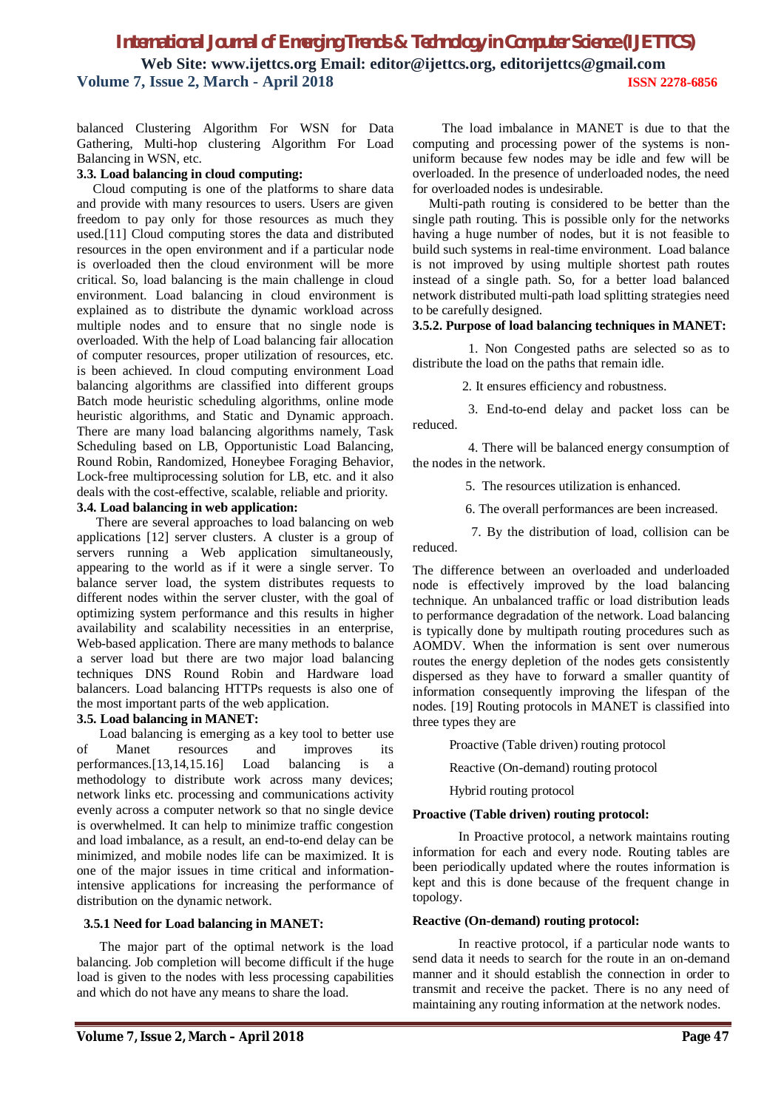balanced Clustering Algorithm For WSN for Data Gathering, Multi-hop clustering Algorithm For Load Balancing in WSN, etc.

#### **3.3. Load balancing in cloud computing:**

 Cloud computing is one of the platforms to share data and provide with many resources to users. Users are given freedom to pay only for those resources as much they used.[11] Cloud computing stores the data and distributed resources in the open environment and if a particular node is overloaded then the cloud environment will be more critical. So, load balancing is the main challenge in cloud environment. Load balancing in cloud environment is explained as to distribute the dynamic workload across multiple nodes and to ensure that no single node is overloaded. With the help of Load balancing fair allocation of computer resources, proper utilization of resources, etc. is been achieved. In cloud computing environment Load balancing algorithms are classified into different groups Batch mode heuristic scheduling algorithms, online mode heuristic algorithms, and Static and Dynamic approach. There are many load balancing algorithms namely, Task Scheduling based on LB, Opportunistic Load Balancing, Round Robin, Randomized, Honeybee Foraging Behavior, Lock-free multiprocessing solution for LB, etc. and it also deals with the cost-effective, scalable, reliable and priority. **3.4. Load balancing in web application:**

 There are several approaches to load balancing on web applications [12] server clusters. A cluster is a group of servers running a Web application simultaneously, appearing to the world as if it were a single server. To balance server load, the system distributes requests to different nodes within the server cluster, with the goal of optimizing system performance and this results in higher availability and scalability necessities in an enterprise, Web-based application. There are many methods to balance a server load but there are two major load balancing techniques DNS Round Robin and Hardware load balancers. Load balancing HTTPs requests is also one of the most important parts of the web application.

#### **3.5. Load balancing in MANET:**

 Load balancing is emerging as a key tool to better use of Manet resources and improves its performances.[13,14,15.16] Load balancing is a methodology to distribute work across many devices; network links etc. processing and communications activity evenly across a computer network so that no single device is overwhelmed. It can help to minimize traffic congestion and load imbalance, as a result, an end-to-end delay can be minimized, and mobile nodes life can be maximized. It is one of the major issues in time critical and informationintensive applications for increasing the performance of distribution on the dynamic network.

#### **3.5.1 Need for Load balancing in MANET:**

The major part of the optimal network is the load balancing. Job completion will become difficult if the huge load is given to the nodes with less processing capabilities and which do not have any means to share the load.

 Multi-path routing is considered to be better than the single path routing. This is possible only for the networks having a huge number of nodes, but it is not feasible to build such systems in real-time environment. Load balance is not improved by using multiple shortest path routes instead of a single path. So, for a better load balanced network distributed multi-path load splitting strategies need to be carefully designed.

#### **3.5.2. Purpose of load balancing techniques in MANET:**

 1. Non Congested paths are selected so as to distribute the load on the paths that remain idle.

2. It ensures efficiency and robustness.

 3. End-to-end delay and packet loss can be reduced.

 4. There will be balanced energy consumption of the nodes in the network.

5. The resources utilization is enhanced.

6. The overall performances are been increased.

 7. By the distribution of load, collision can be reduced.

The difference between an overloaded and underloaded node is effectively improved by the load balancing technique. An unbalanced traffic or load distribution leads to performance degradation of the network. Load balancing is typically done by multipath routing procedures such as AOMDV. When the information is sent over numerous routes the energy depletion of the nodes gets consistently dispersed as they have to forward a smaller quantity of information consequently improving the lifespan of the nodes. [19] Routing protocols in MANET is classified into three types they are

Proactive (Table driven) routing protocol

Reactive (On-demand) routing protocol

Hybrid routing protocol

#### **Proactive (Table driven) routing protocol:**

 In Proactive protocol, a network maintains routing information for each and every node. Routing tables are been periodically updated where the routes information is kept and this is done because of the frequent change in topology.

#### **Reactive (On-demand) routing protocol:**

 In reactive protocol, if a particular node wants to send data it needs to search for the route in an on-demand manner and it should establish the connection in order to transmit and receive the packet. There is no any need of maintaining any routing information at the network nodes.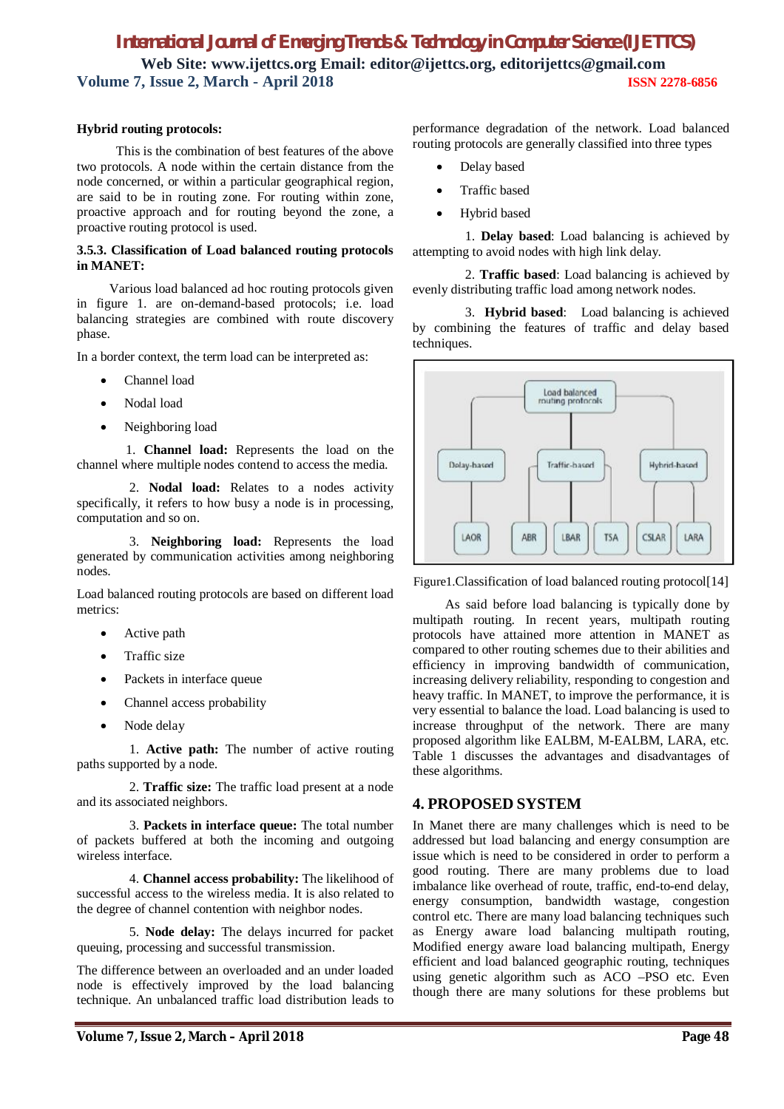#### **Hybrid routing protocols:**

 This is the combination of best features of the above two protocols. A node within the certain distance from the node concerned, or within a particular geographical region, are said to be in routing zone. For routing within zone, proactive approach and for routing beyond the zone, a proactive routing protocol is used.

#### **3.5.3. Classification of Load balanced routing protocols in MANET:**

 Various load balanced ad hoc routing protocols given in figure 1. are on-demand-based protocols; i.e. load balancing strategies are combined with route discovery phase.

In a border context, the term load can be interpreted as:

- Channel load
- Nodal load
- Neighboring load

 1. **Channel load:** Represents the load on the channel where multiple nodes contend to access the media.

 2. **Nodal load:** Relates to a nodes activity specifically, it refers to how busy a node is in processing, computation and so on.

 3. **Neighboring load:** Represents the load generated by communication activities among neighboring nodes.

Load balanced routing protocols are based on different load metrics:

- Active path
- Traffic size
- Packets in interface queue
- Channel access probability
- Node delay

 1. **Active path:** The number of active routing paths supported by a node.

 2. **Traffic size:** The traffic load present at a node and its associated neighbors.

 3. **Packets in interface queue:** The total number of packets buffered at both the incoming and outgoing wireless interface.

 4. **Channel access probability:** The likelihood of successful access to the wireless media. It is also related to the degree of channel contention with neighbor nodes.

 5. **Node delay:** The delays incurred for packet queuing, processing and successful transmission.

The difference between an overloaded and an under loaded node is effectively improved by the load balancing technique. An unbalanced traffic load distribution leads to performance degradation of the network. Load balanced routing protocols are generally classified into three types

- Delay based
- Traffic based
- Hybrid based

 1. **Delay based**: Load balancing is achieved by attempting to avoid nodes with high link delay.

 2. **Traffic based**: Load balancing is achieved by evenly distributing traffic load among network nodes.

 3. **Hybrid based**: Load balancing is achieved by combining the features of traffic and delay based techniques.



Figure1.Classification of load balanced routing protocol[14]

 As said before load balancing is typically done by multipath routing. In recent years, multipath routing protocols have attained more attention in MANET as compared to other routing schemes due to their abilities and efficiency in improving bandwidth of communication, increasing delivery reliability, responding to congestion and heavy traffic. In MANET, to improve the performance, it is very essential to balance the load. Load balancing is used to increase throughput of the network. There are many proposed algorithm like EALBM, M-EALBM, LARA, etc. Table 1 discusses the advantages and disadvantages of these algorithms.

### **4. PROPOSED SYSTEM**

In Manet there are many challenges which is need to be addressed but load balancing and energy consumption are issue which is need to be considered in order to perform a good routing. There are many problems due to load imbalance like overhead of route, traffic, end-to-end delay, energy consumption, bandwidth wastage, congestion control etc. There are many load balancing techniques such as Energy aware load balancing multipath routing, Modified energy aware load balancing multipath, Energy efficient and load balanced geographic routing, techniques using genetic algorithm such as ACO –PSO etc. Even though there are many solutions for these problems but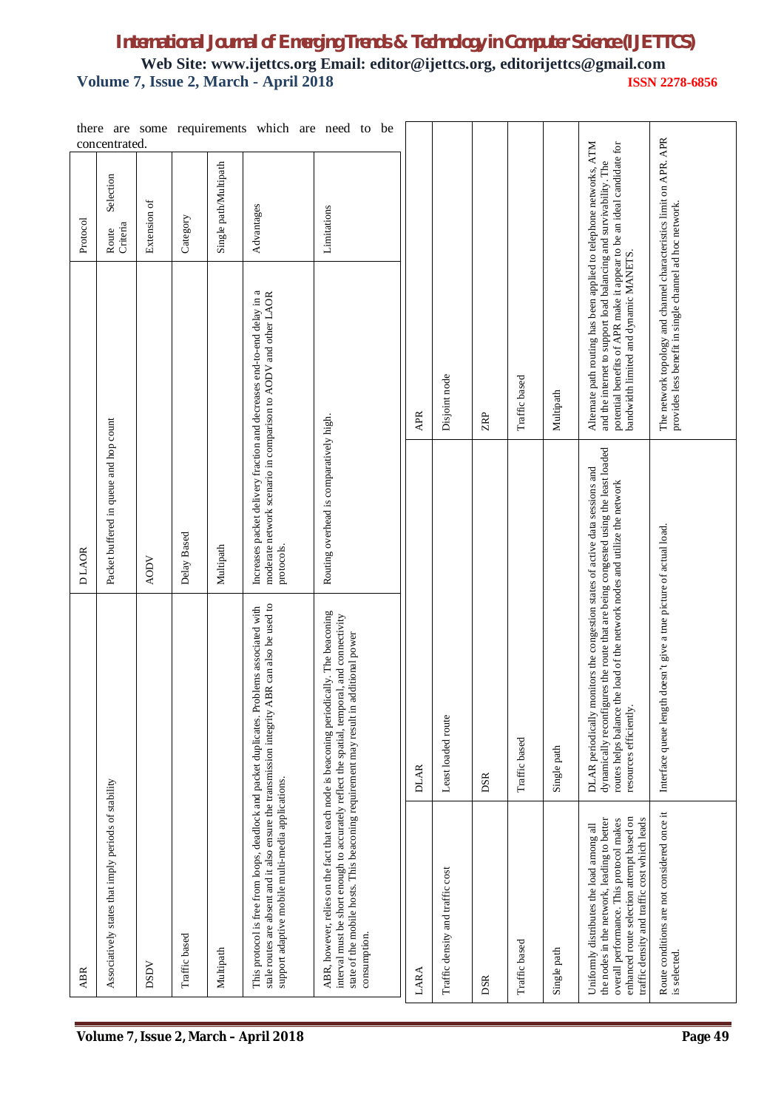|            | there are<br>concentrated.                           |              |               |                       | some requirements which are need to                                                                                                      | be                                                                                                                                                                                      |             |                                  |     |               |             |                                                                                                                                                                                                                                                                            |                                                                                                                               |
|------------|------------------------------------------------------|--------------|---------------|-----------------------|------------------------------------------------------------------------------------------------------------------------------------------|-----------------------------------------------------------------------------------------------------------------------------------------------------------------------------------------|-------------|----------------------------------|-----|---------------|-------------|----------------------------------------------------------------------------------------------------------------------------------------------------------------------------------------------------------------------------------------------------------------------------|-------------------------------------------------------------------------------------------------------------------------------|
| Protocol   | Selection<br>Criteria<br>Route                       | Extension of | Category      | Single path/Multipath | Advantages                                                                                                                               | Limitations                                                                                                                                                                             |             |                                  |     |               |             |                                                                                                                                                                                                                                                                            |                                                                                                                               |
|            |                                                      |              |               |                       | Increases packet delivery fraction and decreases end-to-end delay in a<br>moderate network scenario in comparison to AODV and other LAOR |                                                                                                                                                                                         | APR         | Disjoint node                    | RP  | Traffic based | Multipath   | Alternate path routing has been applied to telephone networks, ATM<br>potential benefits of APR make it appear to be an ideal candidate for<br>and the internet to support load balancing and survivability. The<br>bandwidth limited and dynamic MANETS.                  | The network topology and channel characteristics limit on APR. APR<br>provides less benefit in single channel ad hoc network. |
| D LAOR     | Packet buffered in queue and hop count               | <b>AODV</b>  | Delay Based   | Multipath             | protocols.                                                                                                                               | Routing overhead is comparatively high.                                                                                                                                                 |             |                                  |     |               |             |                                                                                                                                                                                                                                                                            |                                                                                                                               |
|            |                                                      |              |               |                       | stale routes are absent and it also ensure the transmission integrity ABR can also be used to<br>Problems associated with                | ABR, however, relies on the fact that each node is beaconing periodically. The beaconing<br>interval must be short enough to accurately reflect the spatial, temporal, and connectivity | <b>DLAR</b> | Least loaded route               | DSR | Traffic based | Single path | dynamically reconfigures the route that are being congested using the least loaded<br>DLAR periodically monitors the congestion states of active data sessions and<br>routes helps balance the load of the network nodes and utilize the network<br>resources efficiently. | gth doesn't give a true picture of actual load.<br>Interface queue len                                                        |
| <b>ABR</b> | Associatively states that imply periods of stability | <b>DSDV</b>  | Traffic based | Multipath             | This protocol is free from loops, deadlock and packet duplicates.<br>support adaptive mobile multi-media applications.                   | state of the mobile hosts. This beaconing requirement may result in additional power<br>consumption.                                                                                    | LARA        | Traffic density and traffic cost | DSR | Traffic based | Single path | enhanced route selection attempt based on<br>traffic density and traffic cost which leads<br>the nodes in the network, leading to better<br>overall performance. This protocol makes<br>Uniformly distributes the load among all                                           | Route conditions are not considered once it<br>is selected.                                                                   |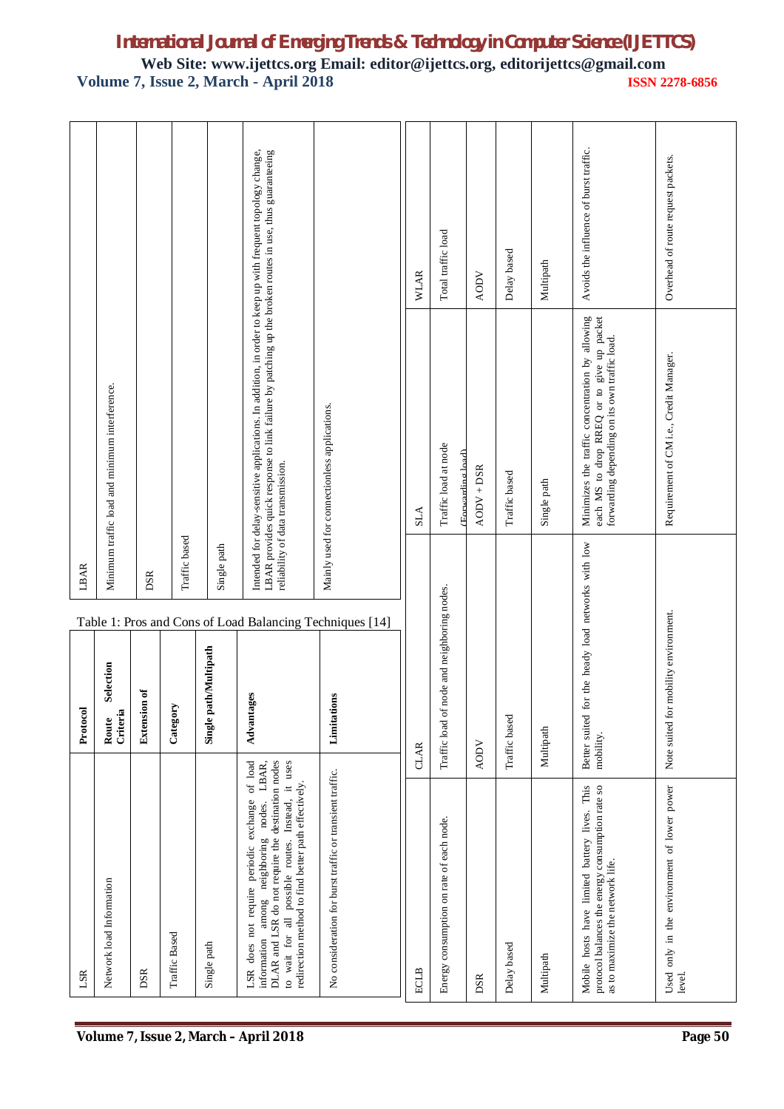# *International Journal of Emerging Trends & Technology in Computer Science (IJETTCS)*

**Web Site: www.ijettcs.org Email: editor@ijettcs.org, editorijettcs@gmail.com Volume 7, Issue 2, March - April 2018 ISSN 2278-6856**

|                                       | LSR                                                                                                                                                                                                                                                           | Protocol                                    | LBAR                                                     |                                                                                                                                                                                                                                                            |                                        |
|---------------------------------------|---------------------------------------------------------------------------------------------------------------------------------------------------------------------------------------------------------------------------------------------------------------|---------------------------------------------|----------------------------------------------------------|------------------------------------------------------------------------------------------------------------------------------------------------------------------------------------------------------------------------------------------------------------|----------------------------------------|
|                                       | Network load Information                                                                                                                                                                                                                                      | Selection<br>Criteria<br>Route              |                                                          | Minimum traffic load and minimum interference.                                                                                                                                                                                                             |                                        |
|                                       | DSR                                                                                                                                                                                                                                                           | <b>Extension of</b>                         | DSR                                                      |                                                                                                                                                                                                                                                            |                                        |
|                                       | Traffic Based                                                                                                                                                                                                                                                 | Category                                    | Traffic based                                            |                                                                                                                                                                                                                                                            |                                        |
|                                       | Single path                                                                                                                                                                                                                                                   | ath/Multipath<br>Single p                   | Single path                                              |                                                                                                                                                                                                                                                            |                                        |
| Volume 7, Issue 2, March - April 2018 | LSR does not require periodic exchange of load<br>information among neighboring nodes. LBAR,<br>DLAR and LSR do not require the destination nodes<br>to wait for all possible routes. Instead, it uses<br>redirection method to find better path effectively. | Advantages                                  | Table 1: Pros and Cons of Load Balancing Techniques [14] | Intended for delay-sensitive applications. In addition, in order to keep up with frequent topology change,<br>LBAR provides quick response to link failure by patching up the broken routes in use, thus guaranteeing<br>reliability of data transmission. |                                        |
|                                       | No consideration for burst traffic or transient traffic.                                                                                                                                                                                                      | Limitations                                 |                                                          | Mainly used for connectionless applications.                                                                                                                                                                                                               |                                        |
|                                       | <b>ECLB</b>                                                                                                                                                                                                                                                   | <b>CLAR</b>                                 |                                                          | SLA                                                                                                                                                                                                                                                        | <b>WLAR</b>                            |
|                                       | Energy consumption on rate of each node.                                                                                                                                                                                                                      | Traffic load of node and neighboring nodes. |                                                          | Traffic load at node<br>Forwarding load)                                                                                                                                                                                                                   | Total traffic load                     |
|                                       | DSR                                                                                                                                                                                                                                                           | <b>AODV</b>                                 |                                                          | AODV + DSR                                                                                                                                                                                                                                                 | <b>AODV</b>                            |
|                                       | Delay based                                                                                                                                                                                                                                                   | Traffic based                               |                                                          | Traffic based                                                                                                                                                                                                                                              | Delay based                            |
|                                       | Multipath                                                                                                                                                                                                                                                     | Multipath                                   |                                                          | Single path                                                                                                                                                                                                                                                | Multipath                              |
|                                       | Mobile hosts have limited battery lives. This<br>protocol balances the energy consumption rate so<br>as to maximize the network life.                                                                                                                         | Better suited<br>mobility.                  | for the heady load networks with low                     | Minimizes the traffic concentration by allowing<br>each MS to drop RREQ or to give up packet<br>forwarding depending on its own traffic load.                                                                                                              | Avoids the influence of burst traffic. |
| Page 50                               | Used only in the environment of lower power<br>level.                                                                                                                                                                                                         | Note suited for mobility environment.       |                                                          | Requirement of CM i.e., Credit Manager.                                                                                                                                                                                                                    | Overhead of route request packets.     |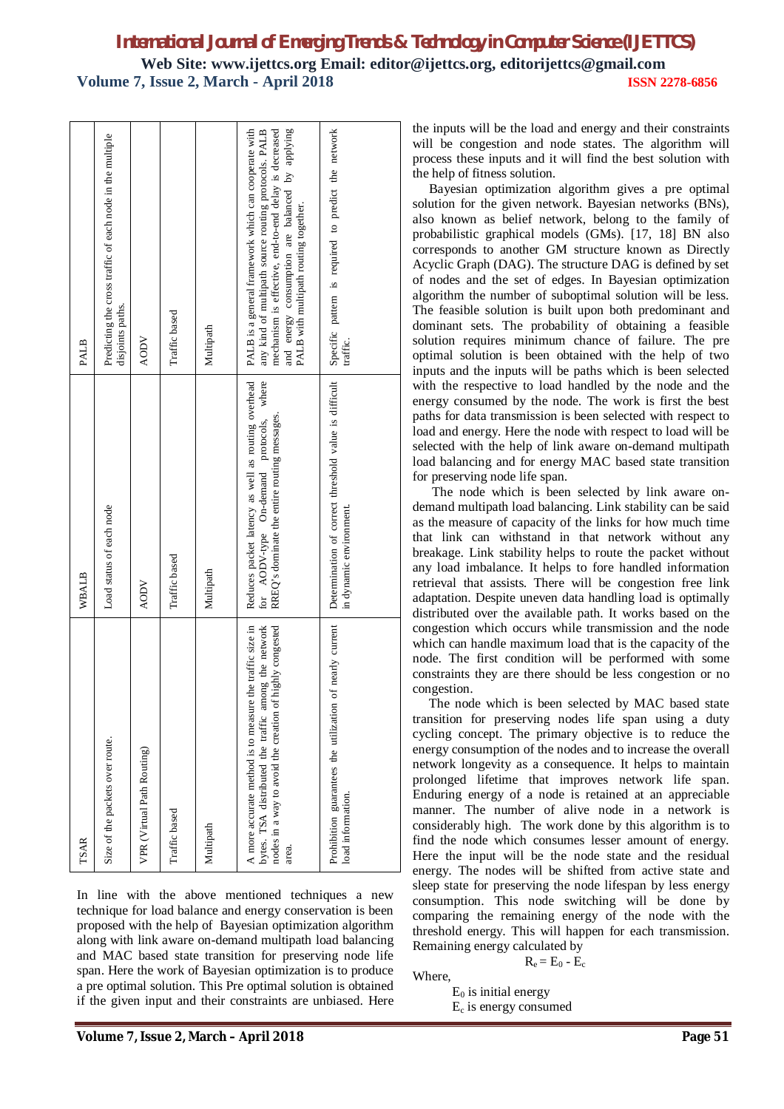| <b>PALB</b> | Predicting the cross traffic of each node in the multiple<br>disjoints paths. | <b>AODV</b>                | Traffic based | Multipath | mechanism is effective, end-to-end delay is decreased<br>applying<br>PALB is a general framework which can cooperate with<br>any kind of multipath source routing protocols. PALB<br>$\tilde{\mathcal{S}}$<br>and energy consumption are balanced<br>PALB with multipath routing together.                                                                                     | is required to predict the network<br>pattern<br>Specific<br>traffic.            | the inputs will be the load and energy and their constraints<br>will be congestion and node states. The algorithm will<br>process these inputs and it will find the best solution with<br>the help of fitness solution.<br>Bayesian optimization algorithm gives a pre optimal<br>solution for the given network. Bayesian networks (BNs),<br>also known as belief network, belong to the family of<br>probabilistic graphical models (GMs). [17, 18] BN also<br>corresponds to another GM structure known as Directly<br>Acyclic Graph (DAG). The structure DAG is defined by set<br>of nodes and the set of edges. In Bayesian optimization<br>algorithm the number of suboptimal solution will be less.<br>The feasible solution is built upon both predominant and<br>dominant sets. The probability of obtaining a feasible<br>solution requires minimum chance of failure. The pre<br>optimal solution is been obtained with the help of two<br>inputs and the inputs will be paths which is been selected                                                                                                                                                                                                        |
|-------------|-------------------------------------------------------------------------------|----------------------------|---------------|-----------|--------------------------------------------------------------------------------------------------------------------------------------------------------------------------------------------------------------------------------------------------------------------------------------------------------------------------------------------------------------------------------|----------------------------------------------------------------------------------|-------------------------------------------------------------------------------------------------------------------------------------------------------------------------------------------------------------------------------------------------------------------------------------------------------------------------------------------------------------------------------------------------------------------------------------------------------------------------------------------------------------------------------------------------------------------------------------------------------------------------------------------------------------------------------------------------------------------------------------------------------------------------------------------------------------------------------------------------------------------------------------------------------------------------------------------------------------------------------------------------------------------------------------------------------------------------------------------------------------------------------------------------------------------------------------------------------------------------|
| WBALB       | Load status of each node                                                      | <b>AODV</b>                | Traffic based | Multipath | Reduces packet latency as well as routing overhead<br>where<br>RREQ's dominate the entire routing messages<br>protocols,<br>On-demand<br>AODV-type<br>for                                                                                                                                                                                                                      | Determination of correct threshold value is difficult<br>in dynamic environment. | with the respective to load handled by the node and the<br>energy consumed by the node. The work is first the best<br>paths for data transmission is been selected with respect to<br>load and energy. Here the node with respect to load will be<br>selected with the help of link aware on-demand multipath<br>load balancing and for energy MAC based state transition<br>for preserving node life span.<br>The node which is been selected by link aware on-<br>demand multipath load balancing. Link stability can be said<br>as the measure of capacity of the links for how much time<br>that link can withstand in that network without any<br>breakage. Link stability helps to route the packet without<br>any load imbalance. It helps to fore handled information<br>retrieval that assists. There will be congestion free link<br>adaptation. Despite uneven data handling load is optimally<br>distributed over the available path. It works based on the                                                                                                                                                                                                                                                 |
| <b>TSAR</b> | Size of the packets over route.                                               | VPR (Virtual Path Routing) | Traffic based | Multipath | A more accurate method is to measure the traffic size in<br>of highly congested<br>among the network<br>nodes in a way to avoid the creation<br>the traffic<br>bytes. TSA distributed<br>area.<br>In line with the above mentioned techniques a new<br>technique for load balance and energy conservation is been<br>proposed with the help of Bayesian optimization algorithm | on of nearly current<br>Prohibition guarantees the utilizati<br>load information | congestion which occurs while transmission and the node<br>which can handle maximum load that is the capacity of the<br>node. The first condition will be performed with some<br>constraints they are there should be less congestion or no<br>congestion.<br>The node which is been selected by MAC based state<br>transition for preserving nodes life span using a duty<br>cycling concept. The primary objective is to reduce the<br>energy consumption of the nodes and to increase the overall<br>network longevity as a consequence. It helps to maintain<br>prolonged lifetime that improves network life span.<br>Enduring energy of a node is retained at an appreciable<br>manner. The number of alive node in a network is<br>considerably high. The work done by this algorithm is to<br>find the node which consumes lesser amount of energy.<br>Here the input will be the node state and the residual<br>energy. The nodes will be shifted from active state and<br>sleep state for preserving the node lifespan by less energy<br>consumption. This node switching will be done by<br>comparing the remaining energy of the node with the<br>threshold energy. This will happen for each transmission. |
|             |                                                                               |                            |               |           | along with link aware on-demand multipath load balancing<br>and MAC based state transition for preserving node life<br>span. Here the work of Bayesian optimization is to produce<br>a pre optimal solution. This Pre optimal solution is obtained<br>if the given input and their constraints are unbiased. Here                                                              |                                                                                  | Remaining energy calculated by<br>$R_e = E_0 - E_c$<br>Where,<br>$E_0$ is initial energy<br>$E_c$ is energy consumed                                                                                                                                                                                                                                                                                                                                                                                                                                                                                                                                                                                                                                                                                                                                                                                                                                                                                                                                                                                                                                                                                                    |
|             |                                                                               |                            |               |           | Volume 7, Issue 2, March - April 2018                                                                                                                                                                                                                                                                                                                                          |                                                                                  | Page 51                                                                                                                                                                                                                                                                                                                                                                                                                                                                                                                                                                                                                                                                                                                                                                                                                                                                                                                                                                                                                                                                                                                                                                                                                 |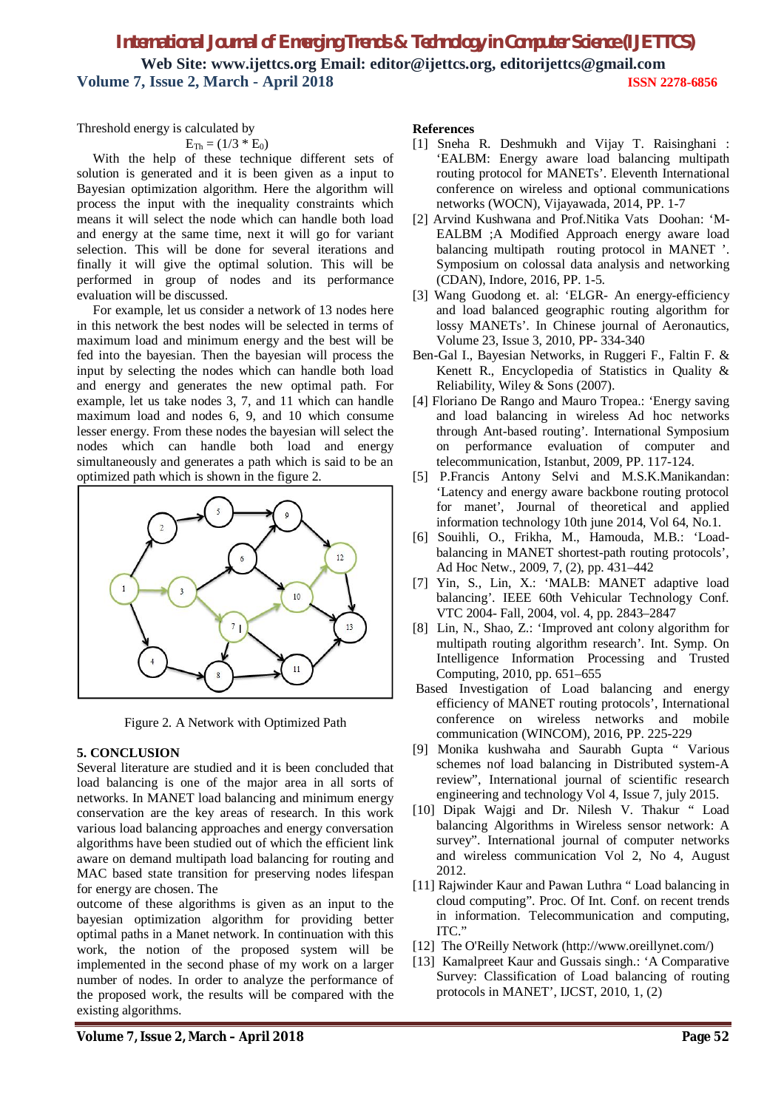Threshold energy is calculated by

$$
\mathrm{E}_{\mathrm{Th}} = (1/3 * \mathrm{E}_0)
$$

With the help of these technique different sets of solution is generated and it is been given as a input to Bayesian optimization algorithm. Here the algorithm will process the input with the inequality constraints which means it will select the node which can handle both load and energy at the same time, next it will go for variant selection. This will be done for several iterations and finally it will give the optimal solution. This will be performed in group of nodes and its performance evaluation will be discussed.

 For example, let us consider a network of 13 nodes here in this network the best nodes will be selected in terms of maximum load and minimum energy and the best will be fed into the bayesian. Then the bayesian will process the input by selecting the nodes which can handle both load and energy and generates the new optimal path. For example, let us take nodes 3, 7, and 11 which can handle maximum load and nodes 6, 9, and 10 which consume lesser energy. From these nodes the bayesian will select the nodes which can handle both load and energy simultaneously and generates a path which is said to be an optimized path which is shown in the figure 2.



Figure 2. A Network with Optimized Path

### **5. CONCLUSION**

Several literature are studied and it is been concluded that load balancing is one of the major area in all sorts of networks. In MANET load balancing and minimum energy conservation are the key areas of research. In this work various load balancing approaches and energy conversation algorithms have been studied out of which the efficient link aware on demand multipath load balancing for routing and MAC based state transition for preserving nodes lifespan for energy are chosen. The

outcome of these algorithms is given as an input to the bayesian optimization algorithm for providing better optimal paths in a Manet network. In continuation with this work, the notion of the proposed system will be implemented in the second phase of my work on a larger number of nodes. In order to analyze the performance of the proposed work, the results will be compared with the existing algorithms.

#### **References**

- [1] Sneha R. Deshmukh and Vijay T. Raisinghani : 'EALBM: Energy aware load balancing multipath routing protocol for MANETs'. Eleventh International conference on wireless and optional communications networks (WOCN), Vijayawada, 2014, PP. 1-7
- [2] Arvind Kushwana and Prof.Nitika Vats Doohan: 'M-EALBM ;A Modified Approach energy aware load balancing multipath routing protocol in MANET '. Symposium on colossal data analysis and networking (CDAN), Indore, 2016, PP. 1-5.
- [3] Wang Guodong et. al: 'ELGR- An energy-efficiency and load balanced geographic routing algorithm for lossy MANETs'. In Chinese journal of Aeronautics, Volume 23, Issue 3, 2010, PP- 334-340
- Ben-Gal I., Bayesian Networks, in Ruggeri F., Faltin F. & Kenett R., Encyclopedia of Statistics in Quality & Reliability, Wiley & Sons (2007).
- [4] Floriano De Rango and Mauro Tropea.: 'Energy saving and load balancing in wireless Ad hoc networks through Ant-based routing'. International Symposium on performance evaluation of computer and telecommunication, Istanbut, 2009, PP. 117-124.
- [5] P.Francis Antony Selvi and M.S.K.Manikandan: 'Latency and energy aware backbone routing protocol for manet', Journal of theoretical and applied information technology 10th june 2014, Vol 64, No.1.
- [6] Souihli, O., Frikha, M., Hamouda, M.B.: 'Loadbalancing in MANET shortest-path routing protocols', Ad Hoc Netw., 2009, 7, (2), pp. 431–442
- [7] Yin, S., Lin, X.: 'MALB: MANET adaptive load balancing'. IEEE 60th Vehicular Technology Conf. VTC 2004- Fall, 2004, vol. 4, pp. 2843–2847
- [8] Lin, N., Shao, Z.: 'Improved ant colony algorithm for multipath routing algorithm research'. Int. Symp. On Intelligence Information Processing and Trusted Computing, 2010, pp. 651–655
- Based Investigation of Load balancing and energy efficiency of MANET routing protocols', International conference on wireless networks and mobile communication (WINCOM), 2016, PP. 225-229
- [9] Monika kushwaha and Saurabh Gupta " Various schemes nof load balancing in Distributed system-A review", International journal of scientific research engineering and technology Vol 4, Issue 7, july 2015.
- [10] Dipak Wajgi and Dr. Nilesh V. Thakur " Load balancing Algorithms in Wireless sensor network: A survey". International journal of computer networks and wireless communication Vol 2, No 4, August 2012.
- [11] Rajwinder Kaur and Pawan Luthra " Load balancing in cloud computing". Proc. Of Int. Conf. on recent trends in information. Telecommunication and computing, ITC."
- [12] The O'Reilly Network (http://www.oreillynet.com/)
- [13] Kamalpreet Kaur and Gussais singh.: 'A Comparative Survey: Classification of Load balancing of routing protocols in MANET', IJCST, 2010, 1, (2)